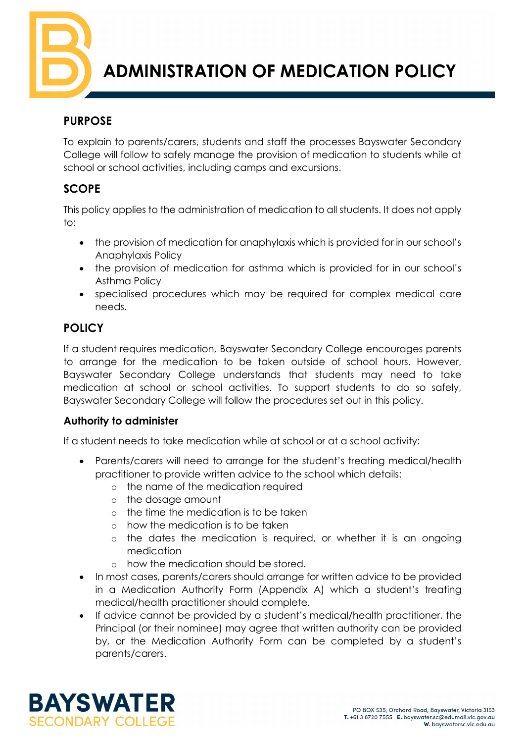

# **ADMINISTRATION OF MEDICATION POLICY**

## **PURPOSE**

To explain to parents/carers, students and staff the processes Bayswater Secondary College will follow to safely manage the provision of medication to students while at school or school activities, including camps and excursions.

# **SCOPE**

This policy applies to the administration of medication to all students. It does not apply to:

- the provision of medication for anaphylaxis which is provided for in our school's Anaphylaxis Policy
- the provision of medication for asthma which is provided for in our school's Asthma Policy
- specialised procedures which may be required for complex medical care needs.

# **POLICY**

If a student requires medication, Bayswater Secondary College encourages parents to arrange for the medication to be taken outside of school hours. However, Bayswater Secondary College understands that students may need to take medication at school or school activities. To support students to do so safely, Bayswater Secondary College will follow the procedures set out in this policy.

## **Authority to administer**

If a student needs to take medication while at school or at a school activity:

- Parents/carers will need to arrange for the student's treating medical/health practitioner to provide written advice to the school which details:
	- o the name of the medication required
	- o the dosage amount
	- o the time the medication is to be taken
	- o how the medication is to be taken
	- o the dates the medication is required, or whether it is an ongoing medication
	- o how the medication should be stored.
- In most cases, parents/carers should arrange for written advice to be provided in a Medication Authority Form (Appendix A) which a student's treating medical/health practitioner should complete.
- If advice cannot be provided by a student's medical/health practitioner, the Principal (or their nominee) may agree that written authority can be provided by, or the Medication Authority Form can be completed by a student's parents/carers.

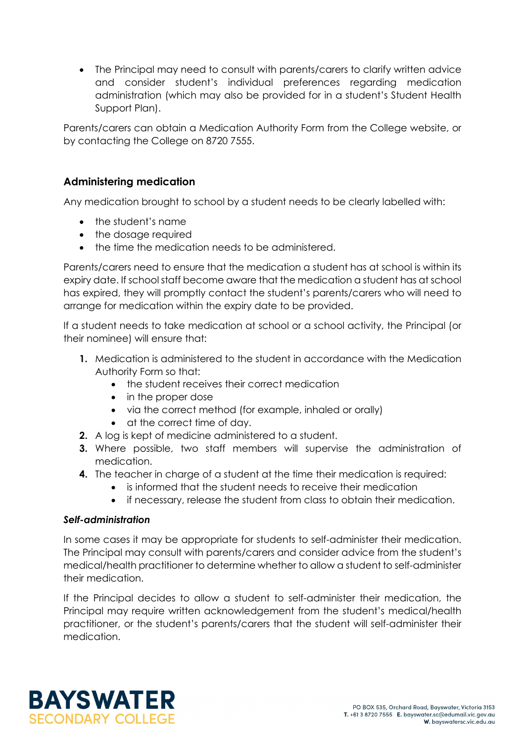• The Principal may need to consult with parents/carers to clarify written advice and consider student's individual preferences regarding medication administration (which may also be provided for in a student's Student Health Support Plan).

Parents/carers can obtain a Medication Authority Form from the College website, or by contacting the College on 8720 7555.

#### **Administering medication**

Any medication brought to school by a student needs to be clearly labelled with:

- the student's name
- the dosage required
- the time the medication needs to be administered.

Parents/carers need to ensure that the medication a student has at school is within its expiry date. If school staff become aware that the medication a student has at school has expired, they will promptly contact the student's parents/carers who will need to arrange for medication within the expiry date to be provided.

If a student needs to take medication at school or a school activity, the Principal (or their nominee) will ensure that:

- **1.** Medication is administered to the student in accordance with the Medication Authority Form so that:
	- the student receives their correct medication
	- in the proper dose
	- via the correct method (for example, inhaled or orally)
	- at the correct time of day.
- **2.** A log is kept of medicine administered to a student.
- **3.** Where possible, two staff members will supervise the administration of medication.
- **4.** The teacher in charge of a student at the time their medication is required:
	- is informed that the student needs to receive their medication
	- if necessary, release the student from class to obtain their medication.

#### *Self-administration*

In some cases it may be appropriate for students to self-administer their medication. The Principal may consult with parents/carers and consider advice from the student's medical/health practitioner to determine whether to allow a student to self-administer their medication.

If the Principal decides to allow a student to self-administer their medication, the Principal may require written acknowledgement from the student's medical/health practitioner, or the student's parents/carers that the student will self-administer their medication.

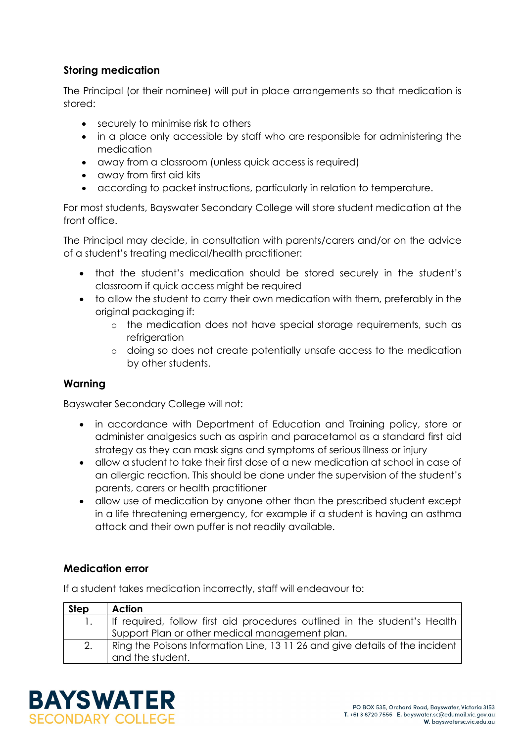#### **Storing medication**

The Principal (or their nominee) will put in place arrangements so that medication is stored:

- securely to minimise risk to others
- in a place only accessible by staff who are responsible for administering the medication
- away from a classroom (unless quick access is required)
- away from first aid kits
- according to packet instructions, particularly in relation to temperature.

For most students, Bayswater Secondary College will store student medication at the front office.

The Principal may decide, in consultation with parents/carers and/or on the advice of a student's treating medical/health practitioner:

- that the student's medication should be stored securely in the student's classroom if quick access might be required
- to allow the student to carry their own medication with them, preferably in the original packaging if:
	- o the medication does not have special storage requirements, such as refrigeration
	- o doing so does not create potentially unsafe access to the medication by other students.

#### **Warning**

Bayswater Secondary College will not:

- in accordance with Department of Education and Training policy, store or administer analgesics such as aspirin and paracetamol as a standard first aid strategy as they can mask signs and symptoms of serious illness or injury
- allow a student to take their first dose of a new medication at school in case of an allergic reaction. This should be done under the supervision of the student's parents, carers or health practitioner
- allow use of medication by anyone other than the prescribed student except in a life threatening emergency, for example if a student is having an asthma attack and their own puffer is not readily available.

## **Medication error**

If a student takes medication incorrectly, staff will endeavour to:

| <b>Step</b> | Action                                                                       |  |
|-------------|------------------------------------------------------------------------------|--|
|             | If required, follow first aid procedures outlined in the student's Health    |  |
|             | Support Plan or other medical management plan.                               |  |
| 2.          | Ring the Poisons Information Line, 13 11 26 and give details of the incident |  |
|             | and the student.                                                             |  |